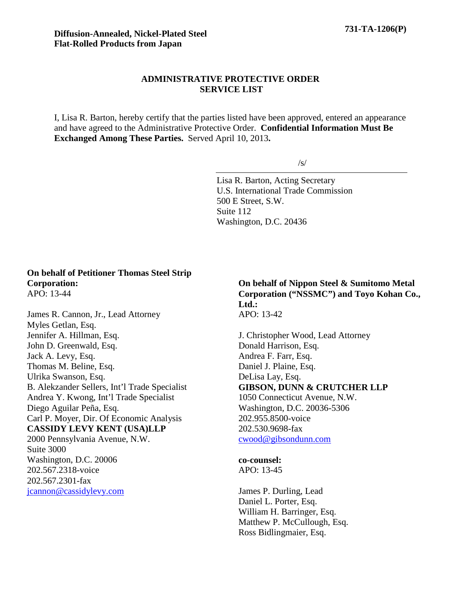## **ADMINISTRATIVE PROTECTIVE ORDER SERVICE LIST**

I, Lisa R. Barton, hereby certify that the parties listed have been approved, entered an appearance and have agreed to the Administrative Protective Order. **Confidential Information Must Be Exchanged Among These Parties.** Served April 10, 2013**.**

/s/

Lisa R. Barton, Acting Secretary U.S. International Trade Commission 500 E Street, S.W. Suite 112 Washington, D.C. 20436

## **On behalf of Petitioner Thomas Steel Strip Corporation:** APO: 13-44

James R. Cannon, Jr., Lead Attorney Myles Getlan, Esq. Jennifer A. Hillman, Esq. John D. Greenwald, Esq. Jack A. Levy, Esq. Thomas M. Beline, Esq. Ulrika Swanson, Esq. B. Alekzander Sellers, Int'l Trade Specialist Andrea Y. Kwong, Int'l Trade Specialist Diego Aguilar Peña, Esq. Carl P. Moyer, Dir. Of Economic Analysis **CASSIDY LEVY KENT (USA)LLP** 2000 Pennsylvania Avenue, N.W. Suite 3000 Washington, D.C. 20006 202.567.2318-voice 202.567.2301-fax

jcannon@cassidylevy.com

**On behalf of Nippon Steel & Sumitomo Metal Corporation ("NSSMC") and Toyo Kohan Co., Ltd.:** APO: 13-42

J. Christopher Wood, Lead Attorney Donald Harrison, Esq. Andrea F. Farr, Esq. Daniel J. Plaine, Esq. DeLisa Lay, Esq. **GIBSON, DUNN & CRUTCHER LLP** 1050 Connecticut Avenue, N.W. Washington, D.C. 20036-5306 202.955.8500-voice 202.530.9698-fax cwood@gibsondunn.com

**co-counsel:**

APO: 13-45

James P. Durling, Lead Daniel L. Porter, Esq. William H. Barringer, Esq. Matthew P. McCullough, Esq. Ross Bidlingmaier, Esq.